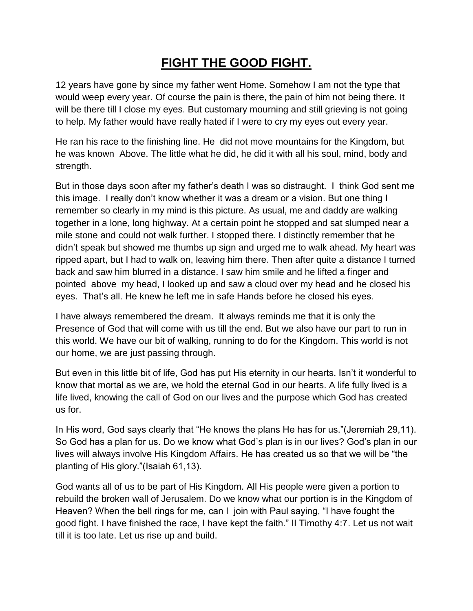## **FIGHT THE GOOD FIGHT.**

12 years have gone by since my father went Home. Somehow I am not the type that would weep every year. Of course the pain is there, the pain of him not being there. It will be there till I close my eyes. But customary mourning and still grieving is not going to help. My father would have really hated if I were to cry my eyes out every year.

He ran his race to the finishing line. He did not move mountains for the Kingdom, but he was known Above. The little what he did, he did it with all his soul, mind, body and strength.

But in those days soon after my father's death I was so distraught. I think God sent me this image. I really don't know whether it was a dream or a vision. But one thing I remember so clearly in my mind is this picture. As usual, me and daddy are walking together in a lone, long highway. At a certain point he stopped and sat slumped near a mile stone and could not walk further. I stopped there. I distinctly remember that he didn't speak but showed me thumbs up sign and urged me to walk ahead. My heart was ripped apart, but I had to walk on, leaving him there. Then after quite a distance I turned back and saw him blurred in a distance. I saw him smile and he lifted a finger and pointed above my head, I looked up and saw a cloud over my head and he closed his eyes. That's all. He knew he left me in safe Hands before he closed his eyes.

I have always remembered the dream. It always reminds me that it is only the Presence of God that will come with us till the end. But we also have our part to run in this world. We have our bit of walking, running to do for the Kingdom. This world is not our home, we are just passing through.

But even in this little bit of life, God has put His eternity in our hearts. Isn't it wonderful to know that mortal as we are, we hold the eternal God in our hearts. A life fully lived is a life lived, knowing the call of God on our lives and the purpose which God has created us for.

In His word, God says clearly that "He knows the plans He has for us."(Jeremiah 29,11). So God has a plan for us. Do we know what God's plan is in our lives? God's plan in our lives will always involve His Kingdom Affairs. He has created us so that we will be "the planting of His glory."(Isaiah 61,13).

God wants all of us to be part of His Kingdom. All His people were given a portion to rebuild the broken wall of Jerusalem. Do we know what our portion is in the Kingdom of Heaven? When the bell rings for me, can I join with Paul saying, "I have fought the good fight. I have finished the race, I have kept the faith." II Timothy 4:7. Let us not wait till it is too late. Let us rise up and build.